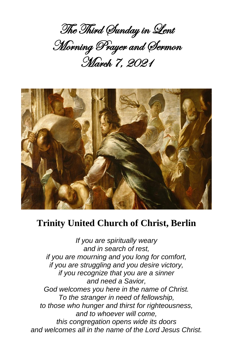The Third Sunday in Lent Morning Prayer and Sermon March 7, 2021



# **Trinity United Church of Christ, Berlin**

*If you are spiritually weary and in search of rest, if you are mourning and you long for comfort, if you are struggling and you desire victory, if you recognize that you are a sinner and need a Savior, God welcomes you here in the name of Christ. To the stranger in need of fellowship, to those who hunger and thirst for righteousness, and to whoever will come, this congregation opens wide its doors and welcomes all in the name of the Lord Jesus Christ.*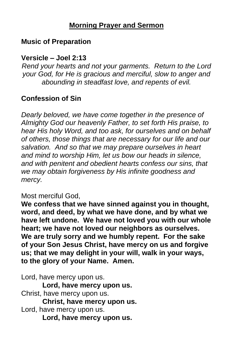## **Morning Prayer and Sermon**

## **Music of Preparation**

## **Versicle – Joel 2:13**

*Rend your hearts and not your garments. Return to the Lord your God, for He is gracious and merciful, slow to anger and abounding in steadfast love, and repents of evil.*

## **Confession of Sin**

*Dearly beloved, we have come together in the presence of Almighty God our heavenly Father, to set forth His praise, to hear His holy Word, and too ask, for ourselves and on behalf of others, those things that are necessary for our life and our salvation. And so that we may prepare ourselves in heart and mind to worship Him, let us bow our heads in silence, and with penitent and obedient hearts confess our sins, that we may obtain forgiveness by His infinite goodness and mercy.*

#### Most merciful God,

**We confess that we have sinned against you in thought, word, and deed, by what we have done, and by what we have left undone. We have not loved you with our whole heart; we have not loved our neighbors as ourselves. We are truly sorry and we humbly repent. For the sake of your Son Jesus Christ, have mercy on us and forgive us; that we may delight in your will, walk in your ways, to the glory of your Name. Amen.**

Lord, have mercy upon us. **Lord, have mercy upon us.** Christ, have mercy upon us. **Christ, have mercy upon us.** Lord, have mercy upon us. **Lord, have mercy upon us.**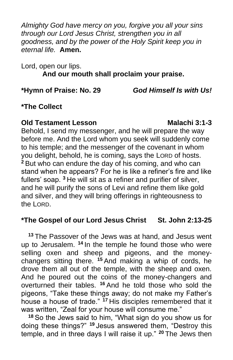*Almighty God have mercy on you, forgive you all your sins through our Lord Jesus Christ, strengthen you in all goodness, and by the power of the Holy Spirit keep you in eternal life.* **Amen.**

Lord, open our lips. **And our mouth shall proclaim your praise.**

**\*Hymn of Praise: No. 29** *God Himself Is with Us!*

## **\*The Collect**

#### **Old Testament Lesson Malachi 3:1-3**

Behold, I send my messenger, and he will prepare the way before me. And the Lord whom you seek will suddenly come to his temple; and the messenger of the covenant in whom you delight, behold, he is coming, says the LORD of hosts. **<sup>2</sup>** But who can endure the day of his coming, and who can stand when he appears? For he is like a refiner's fire and like fullers' soap. **<sup>3</sup>** He will sit as a refiner and purifier of silver, and he will purify the sons of Levi and refine them like gold and silver, and they will bring offerings in righteousness to the LORD.

#### **\*The Gospel of our Lord Jesus Christ St. John 2:13-25**

**<sup>13</sup>** The Passover of the Jews was at hand, and Jesus went up to Jerusalem. **<sup>14</sup>** In the temple he found those who were selling oxen and sheep and pigeons, and the moneychangers sitting there. **<sup>15</sup>** And making a whip of cords, he drove them all out of the temple, with the sheep and oxen. And he poured out the coins of the money-changers and overturned their tables. **<sup>16</sup>** And he told those who sold the pigeons, "Take these things away; do not make my Father's house a house of trade." **<sup>17</sup>** His disciples remembered that it was written, "Zeal for your house will consume me."

**<sup>18</sup>** So the Jews said to him, "What sign do you show us for doing these things?" **<sup>19</sup>** Jesus answered them, "Destroy this temple, and in three days I will raise it up." **<sup>20</sup>** The Jews then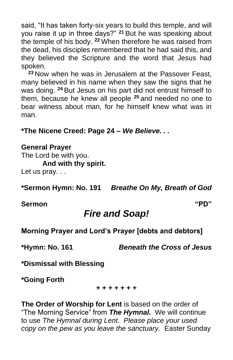said, "It has taken forty-six years to build this temple, and will you raise it up in three days?" **<sup>21</sup>** But he was speaking about the temple of his body. **<sup>22</sup>** When therefore he was raised from the dead, his disciples remembered that he had said this, and they believed the Scripture and the word that Jesus had spoken.

**<sup>23</sup>** Now when he was in Jerusalem at the Passover Feast, many believed in his name when they saw the signs that he was doing. **<sup>24</sup>** But Jesus on his part did not entrust himself to them, because he knew all people **<sup>25</sup>** and needed no one to bear witness about man, for he himself knew what was in man.

**\*The Nicene Creed: Page 24 –** *We Believe. . .*

#### **General Prayer**

The Lord be with you. **And with thy spirit.** Let us pray. . .

**\*Sermon Hymn: No. 191** *Breathe On My, Breath of God*

**Sermon "PD"**

# *Fire and Soap!*

**Morning Prayer and Lord's Prayer [debts and debtors]**

**\*Hymn: No. 161** *Beneath the Cross of Jesus*

**\*Dismissal with Blessing**

**\*Going Forth**

**+ + + + + + +**

**The Order of Worship for Lent** is based on the order of "The Morning Service" from *The Hymnal.* We will continue to use *The Hymnal during Lent. Please place your used copy on the pew as you leave the sanctuary.* Easter Sunday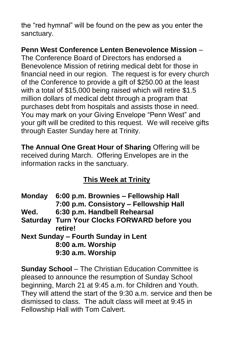the "red hymnal" will be found on the pew as you enter the sanctuary.

# **Penn West Conference Lenten Benevolence Mission** –

The Conference Board of Directors has endorsed a Benevolence Mission of retiring medical debt for those in financial need in our region. The request is for every church of the Conference to provide a gift of \$250.00 at the least with a total of \$15,000 being raised which will retire \$1.5 million dollars of medical debt through a program that purchases debt from hospitals and assists those in need. You may mark on your Giving Envelope "Penn West" and your gift will be credited to this request. We will receive gifts through Easter Sunday here at Trinity.

**The Annual One Great Hour of Sharing** Offering will be received during March. Offering Envelopes are in the information racks in the sanctuary.

# **This Week at Trinity**

**Monday 6:00 p.m. Brownies – Fellowship Hall 7:00 p.m. Consistory – Fellowship Hall Wed. 6:30 p.m. Handbell Rehearsal Saturday Turn Your Clocks FORWARD before you retire! Next Sunday – Fourth Sunday in Lent 8:00 a.m. Worship 9:30 a.m. Worship**

**Sunday School** – The Christian Education Committee is pleased to announce the resumption of Sunday School beginning, March 21 at 9:45 a.m. for Children and Youth. They will attend the start of the 9:30 a.m. service and then be dismissed to class. The adult class will meet at 9:45 in Fellowship Hall with Tom Calvert.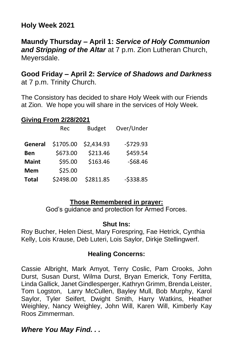## **Holy Week 2021**

**Maundy Thursday – April 1:** *Service of Holy Communion and Stripping of the Altar* at 7 p.m. Zion Lutheran Church, Meyersdale.

#### **Good Friday – April 2:** *Service of Shadows and Darkness* at 7 p.m. Trinity Church.

The Consistory has decided to share Holy Week with our Friends at Zion. We hope you will share in the services of Holy Week.

#### **Giving From 2/28/2021**

|              | Rec       | <b>Budget</b> | Over/Under |
|--------------|-----------|---------------|------------|
| General      | \$1705.00 | \$2,434.93    | $-5729.93$ |
| <b>Ben</b>   | \$673.00  | \$213.46      | \$459.54   |
| <b>Maint</b> | \$95.00   | \$163.46      | $-568.46$  |
| <b>Mem</b>   | \$25.00   |               |            |
| <b>Total</b> | \$2498.00 | \$2811.85     | $-5338.85$ |

#### **Those Remembered in prayer:**

God's guidance and protection for Armed Forces.

#### **Shut Ins:**

Roy Bucher, Helen Diest, Mary Forespring, Fae Hetrick, Cynthia Kelly, Lois Krause, Deb Luteri, Lois Saylor, Dirkje Stellingwerf.

#### **Healing Concerns:**

Cassie Albright, Mark Amyot, Terry Coslic, Pam Crooks, John Durst, Susan Durst, Wilma Durst, Bryan Emerick, Tony Fertitta, Linda Gallick, Janet Gindlesperger, Kathryn Grimm, Brenda Leister, Tom Logston, Larry McCullen, Bayley Mull, Bob Murphy, Karol Saylor, Tyler Seifert, Dwight Smith, Harry Watkins, Heather Weighley, Nancy Weighley, John Will, Karen Will, Kimberly Kay Roos Zimmerman.

#### *Where You May Find. . .*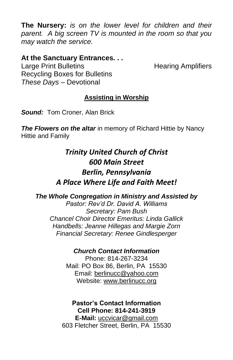**The Nursery:** *is on the lower level for children and their parent. A big screen TV is mounted in the room so that you may watch the service.*

#### **At the Sanctuary Entrances. . .**

Large Print Bulletins **Example 20** Hearing Amplifiers Recycling Boxes for Bulletins *These Days –* Devotional

#### **Assisting in Worship**

*Sound:* Tom Croner, Alan Brick

*The Flowers on the altar* in memory of Richard Hittie by Nancy Hittie and Family

# *Trinity United Church of Christ 600 Main Street Berlin, Pennsylvania A Place Where Life and Faith Meet!*

*The Whole Congregation in Ministry and Assisted by*

*Pastor: Rev'd Dr. David A. Williams Secretary: Pam Bush Chancel Choir Director Emeritus: Linda Gallick Handbells: Jeanne Hillegas and Margie Zorn Financial Secretary: Renee Gindlesperger*

#### *Church Contact Information*

Phone: 814-267-3234 Mail: PO Box 86, Berlin, PA 15530 Email: [berlinucc@yahoo.com](mailto:berlinucc@yahoo.com) Website: [www.berlinucc.org](http://www.berlinucc.org/)

**Pastor's Contact Information Cell Phone: 814-241-3919 E-Mail:** [uccvicar@gmail.com](mailto:uccvicar@gmail.com) 603 Fletcher Street, Berlin, PA 15530